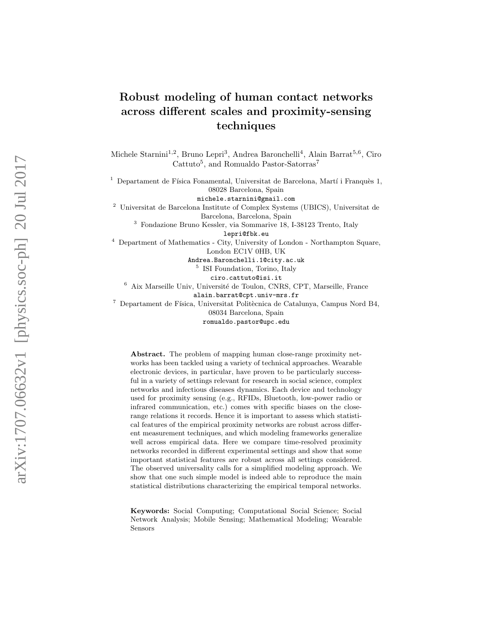# Robust modeling of human contact networks across different scales and proximity-sensing techniques

Michele Starnini<sup>1,2</sup>, Bruno Lepri<sup>3</sup>, Andrea Baronchelli<sup>4</sup>, Alain Barrat<sup>5,6</sup>, Ciro Cattuto<sup>5</sup>, and Romualdo Pastor-Satorras<sup>7</sup>

 $^{\rm 1}$  Departament de Física Fonamental, Universitat de Barcelona, Martí i Franquès 1, 08028 Barcelona, Spain

michele.starnini@gmail.com

<sup>2</sup> Universitat de Barcelona Institute of Complex Systems (UBICS), Universitat de Barcelona, Barcelona, Spain

<sup>3</sup> Fondazione Bruno Kessler, via Sommarive 18, I-38123 Trento, Italy lepri@fbk.eu

<sup>4</sup> Department of Mathematics - City, University of London - Northampton Square, London EC1V 0HB, UK

Andrea.Baronchelli.1@city.ac.uk

5 ISI Foundation, Torino, Italy

ciro.cattuto@isi.it

 $^6\,$  Aix Marseille Univ, Université de Toulon, CNRS, CPT, Marseille, France

alain.barrat@cpt.univ-mrs.fr

 $^7$  Departament de Física, Universitat Politècnica de Catalunya, Campus Nord B4, 08034 Barcelona, Spain

romualdo.pastor@upc.edu

Abstract. The problem of mapping human close-range proximity networks has been tackled using a variety of technical approaches. Wearable electronic devices, in particular, have proven to be particularly successful in a variety of settings relevant for research in social science, complex networks and infectious diseases dynamics. Each device and technology used for proximity sensing (e.g., RFIDs, Bluetooth, low-power radio or infrared communication, etc.) comes with specific biases on the closerange relations it records. Hence it is important to assess which statistical features of the empirical proximity networks are robust across different measurement techniques, and which modeling frameworks generalize well across empirical data. Here we compare time-resolved proximity networks recorded in different experimental settings and show that some important statistical features are robust across all settings considered. The observed universality calls for a simplified modeling approach. We show that one such simple model is indeed able to reproduce the main statistical distributions characterizing the empirical temporal networks.

Keywords: Social Computing; Computational Social Science; Social Network Analysis; Mobile Sensing; Mathematical Modeling; Wearable Sensors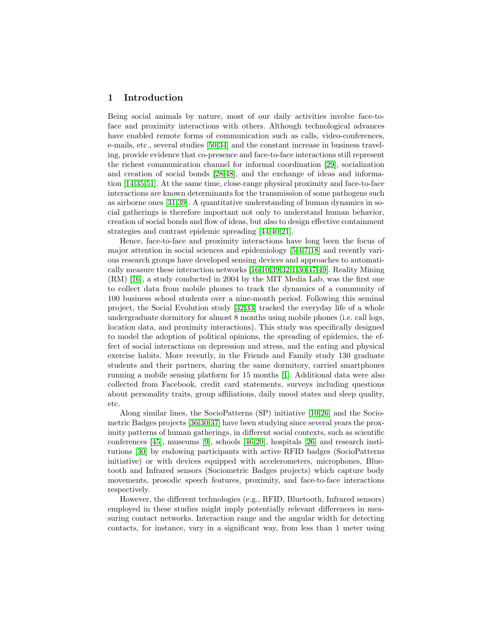## 1 Introduction

Being social animals by nature, most of our daily activities involve face-toface and proximity interactions with others. Although technological advances have enabled remote forms of communication such as calls, video-conferences, e-mails, etc., several studies [\[50,](#page-16-0)[34\]](#page-15-0) and the constant increase in business traveling, provide evidence that co-presence and face-to-face interactions still represent the richest communication channel for informal coordination [\[29\]](#page-15-1), socialization and creation of social bonds [\[28,](#page-14-0)[48\]](#page-16-1), and the exchange of ideas and information [\[14](#page-14-1)[,35,](#page-15-2)[51\]](#page-16-2). At the same time, close-range physical proximity and face-to-face interactions are known determinants for the transmission of some pathogens such as airborne ones [\[31](#page-15-3)[,39\]](#page-15-4). A quantitative understanding of human dynamics in social gatherings is therefore important not only to understand human behavior, creation of social bonds and flow of ideas, but also to design effective containment strategies and contrast epidemic spreading [\[44,](#page-15-5)[40,](#page-15-6)[21\]](#page-14-2).

Hence, face-to-face and proximity interactions have long been the focus of major attention in social sciences and epidemiology [\[5,](#page-13-0)[4](#page-13-1)[,7,](#page-13-2)[18\]](#page-14-3) and recently various research groups have developed sensing devices and approaches to automatically measure these interaction networks [\[16,](#page-14-4)[10,](#page-14-5)[39,](#page-15-4)[32,](#page-15-7)[1,](#page-13-3)[30,](#page-15-8)[47,](#page-16-3)[49\]](#page-16-4). Reality Mining (RM) [\[16\]](#page-14-4), a study conducted in 2004 by the MIT Media Lab, was the first one to collect data from mobile phones to track the dynamics of a community of 100 business school students over a nine-month period. Following this seminal project, the Social Evolution study [\[32,](#page-15-7)[33\]](#page-15-9) tracked the everyday life of a whole undergraduate dormitory for almost 8 months using mobile phones (i.e. call logs, location data, and proximity interactions). This study was specifically designed to model the adoption of political opinions, the spreading of epidemics, the effect of social interactions on depression and stress, and the eating and physical exercise habits. More recently, in the Friends and Family study 130 graduate students and their partners, sharing the same dormitory, carried smartphones running a mobile sensing platform for 15 months [\[1\]](#page-13-3). Additional data were also collected from Facebook, credit card statements, surveys including questions about personality traits, group affiliations, daily mood states and sleep quality, etc.

Along similar lines, the SocioPatterns (SP) initiative [\[10,](#page-14-5)[26\]](#page-14-6) and the Sociometric Badges projects [\[36,](#page-15-10)[30](#page-15-8)[,37\]](#page-15-11) have been studying since several years the proximity patterns of human gatherings, in different social contexts, such as scientific conferences [\[45\]](#page-15-12), museums [\[9\]](#page-13-4), schools [\[46,](#page-16-5)[20\]](#page-14-7), hospitals [\[26\]](#page-14-6) and research institutions [\[30\]](#page-15-8) by endowing participants with active RFID badges (SocioPatterns initiative) or with devices equipped with accelerometers, microphones, Bluetooth and Infrared sensors (Sociometric Badges projects) which capture body movements, prosodic speech features, proximity, and face-to-face interactions respectively.

However, the different technologies (e.g., RFID, Bluetooth, Infrared sensors) employed in these studies might imply potentially relevant differences in measuring contact networks. Interaction range and the angular width for detecting contacts, for instance, vary in a significant way, from less than 1 meter using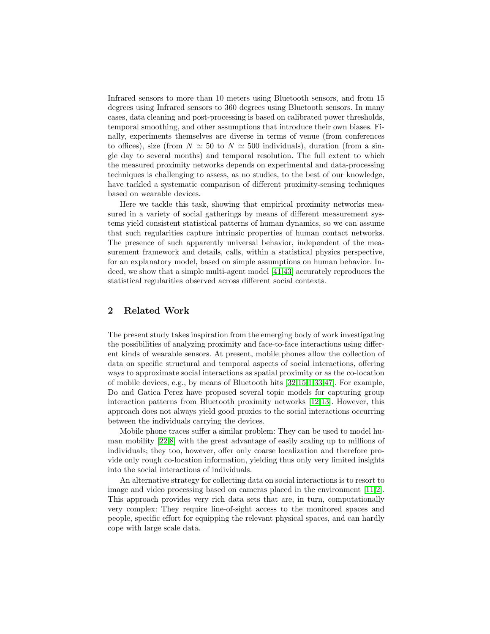Infrared sensors to more than 10 meters using Bluetooth sensors, and from 15 degrees using Infrared sensors to 360 degrees using Bluetooth sensors. In many cases, data cleaning and post-processing is based on calibrated power thresholds, temporal smoothing, and other assumptions that introduce their own biases. Finally, experiments themselves are diverse in terms of venue (from conferences to offices), size (from  $N \simeq 50$  to  $N \simeq 500$  individuals), duration (from a single day to several months) and temporal resolution. The full extent to which the measured proximity networks depends on experimental and data-processing techniques is challenging to assess, as no studies, to the best of our knowledge, have tackled a systematic comparison of different proximity-sensing techniques based on wearable devices.

Here we tackle this task, showing that empirical proximity networks measured in a variety of social gatherings by means of different measurement systems yield consistent statistical patterns of human dynamics, so we can assume that such regularities capture intrinsic properties of human contact networks. The presence of such apparently universal behavior, independent of the measurement framework and details, calls, within a statistical physics perspective, for an explanatory model, based on simple assumptions on human behavior. Indeed, we show that a simple multi-agent model [\[41,](#page-15-13)[43\]](#page-15-14) accurately reproduces the statistical regularities observed across different social contexts.

# 2 Related Work

The present study takes inspiration from the emerging body of work investigating the possibilities of analyzing proximity and face-to-face interactions using different kinds of wearable sensors. At present, mobile phones allow the collection of data on specific structural and temporal aspects of social interactions, offering ways to approximate social interactions as spatial proximity or as the co-location of mobile devices, e.g., by means of Bluetooth hits [\[32,](#page-15-7)[15](#page-14-8)[,1,](#page-13-3)[33,](#page-15-9)[47\]](#page-16-3). For example, Do and Gatica Perez have proposed several topic models for capturing group interaction patterns from Bluetooth proximity networks [\[12,](#page-14-9)[13\]](#page-14-10). However, this approach does not always yield good proxies to the social interactions occurring between the individuals carrying the devices.

Mobile phone traces suffer a similar problem: They can be used to model human mobility [\[22](#page-14-11)[,8\]](#page-13-5) with the great advantage of easily scaling up to millions of individuals; they too, however, offer only coarse localization and therefore provide only rough co-location information, yielding thus only very limited insights into the social interactions of individuals.

An alternative strategy for collecting data on social interactions is to resort to image and video processing based on cameras placed in the environment [\[11,](#page-14-12)[2\]](#page-13-6). This approach provides very rich data sets that are, in turn, computationally very complex: They require line-of-sight access to the monitored spaces and people, specific effort for equipping the relevant physical spaces, and can hardly cope with large scale data.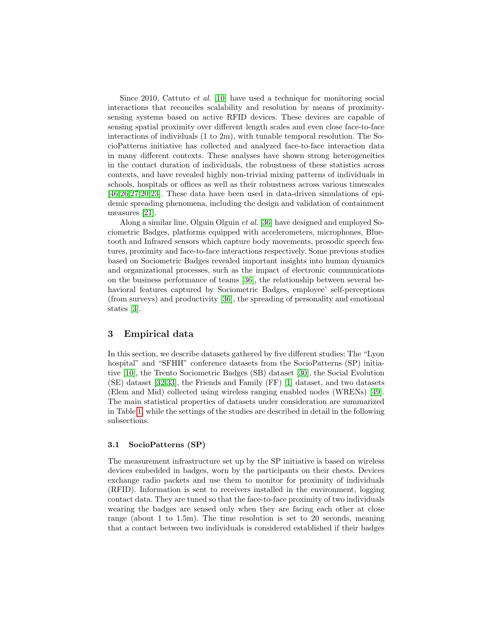Since 2010, Cattuto et al. [\[10\]](#page-14-5) have used a technique for monitoring social interactions that reconciles scalability and resolution by means of proximitysensing systems based on active RFID devices. These devices are capable of sensing spatial proximity over different length scales and even close face-to-face interactions of individuals  $(1 \text{ to } 2m)$ , with tunable temporal resolution. The SocioPatterns initiative has collected and analyzed face-to-face interaction data in many different contexts. These analyses have shown strong heterogeneities in the contact duration of individuals, the robustness of these statistics across contexts, and have revealed highly non-trivial mixing patterns of individuals in schools, hospitals or offices as well as their robustness across various timescales [\[46](#page-16-5)[,26](#page-14-6)[,27,](#page-14-13)[20](#page-14-7)[,23\]](#page-14-14). These data have been used in data-driven simulations of epidemic spreading phenomena, including the design and validation of containment measures [\[21\]](#page-14-2).

Along a similar line, Olguin Olguin et al. [\[36\]](#page-15-10) have designed and employed Sociometric Badges, platforms equipped with accelerometers, microphones, Bluetooth and Infrared sensors which capture body movements, prosodic speech features, proximity and face-to-face interactions respectively. Some previous studies based on Sociometric Badges revealed important insights into human dynamics and organizational processes, such as the impact of electronic communications on the business performance of teams [\[36\]](#page-15-10), the relationship between several behavioral features captured by Sociometric Badges, employee' self-perceptions (from surveys) and productivity [\[36\]](#page-15-10), the spreading of personality and emotional states [\[3\]](#page-13-7).

## 3 Empirical data

In this section, we describe datasets gathered by five different studies: The "Lyon hospital" and "SFHH" conference datasets from the SocioPatterns (SP) initiative [\[10\]](#page-14-5), the Trento Sociometric Badges (SB) dataset [\[30\]](#page-15-8), the Social Evolution (SE) dataset [\[32,](#page-15-7)[33\]](#page-15-9), the Friends and Family (FF) [\[1\]](#page-13-3) dataset, and two datasets (Elem and Mid) collected using wireless ranging enabled nodes (WRENs) [\[49\]](#page-16-4). The main statistical properties of datasets under consideration are summarized in Table [1,](#page-6-0) while the settings of the studies are described in detail in the following subsections.

## 3.1 SocioPatterns (SP)

The measurement infrastructure set up by the SP initiative is based on wireless devices embedded in badges, worn by the participants on their chests. Devices exchange radio packets and use them to monitor for proximity of individuals (RFID). Information is sent to receivers installed in the environment, logging contact data. They are tuned so that the face-to-face proximity of two individuals wearing the badges are sensed only when they are facing each other at close range (about 1 to 1.5m). The time resolution is set to 20 seconds, meaning that a contact between two individuals is considered established if their badges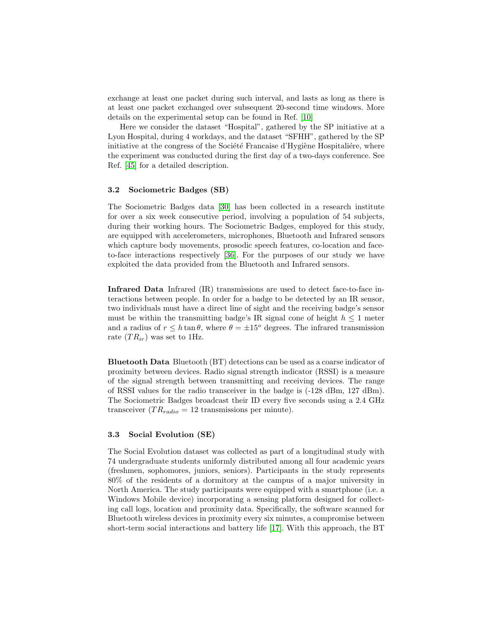exchange at least one packet during such interval, and lasts as long as there is at least one packet exchanged over subsequent 20-second time windows. More details on the experimental setup can be found in Ref. [\[10\]](#page-14-5)

Here we consider the dataset "Hospital", gathered by the SP initiative at a Lyon Hospital, during 4 workdays, and the dataset "SFHH", gathered by the SP initiative at the congress of the Société Francaise d'Hygiène Hospitalière, where the experiment was conducted during the first day of a two-days conference. See Ref. [\[45\]](#page-15-12) for a detailed description.

#### 3.2 Sociometric Badges (SB)

The Sociometric Badges data [\[30\]](#page-15-8) has been collected in a research institute for over a six week consecutive period, involving a population of 54 subjects, during their working hours. The Sociometric Badges, employed for this study, are equipped with accelerometers, microphones, Bluetooth and Infrared sensors which capture body movements, prosodic speech features, co-location and faceto-face interactions respectively [\[36\]](#page-15-10). For the purposes of our study we have exploited the data provided from the Bluetooth and Infrared sensors.

Infrared Data Infrared (IR) transmissions are used to detect face-to-face interactions between people. In order for a badge to be detected by an IR sensor, two individuals must have a direct line of sight and the receiving badge's sensor must be within the transmitting badge's IR signal cone of height  $h \leq 1$  meter and a radius of  $r \leq h \tan \theta$ , where  $\theta = \pm 15^{\circ}$  degrees. The infrared transmission rate  $(T R_{ir})$  was set to 1Hz.

Bluetooth Data Bluetooth (BT) detections can be used as a coarse indicator of proximity between devices. Radio signal strength indicator (RSSI) is a measure of the signal strength between transmitting and receiving devices. The range of RSSI values for the radio transceiver in the badge is (-128 dBm, 127 dBm). The Sociometric Badges broadcast their ID every five seconds using a 2.4 GHz transceiver  $TR_{radio} = 12$  transmissions per minute).

## 3.3 Social Evolution (SE)

The Social Evolution dataset was collected as part of a longitudinal study with 74 undergraduate students uniformly distributed among all four academic years (freshmen, sophomores, juniors, seniors). Participants in the study represents 80% of the residents of a dormitory at the campus of a major university in North America. The study participants were equipped with a smartphone (i.e. a Windows Mobile device) incorporating a sensing platform designed for collecting call logs, location and proximity data. Specifically, the software scanned for Bluetooth wireless devices in proximity every six minutes, a compromise between short-term social interactions and battery life [\[17\]](#page-14-15). With this approach, the BT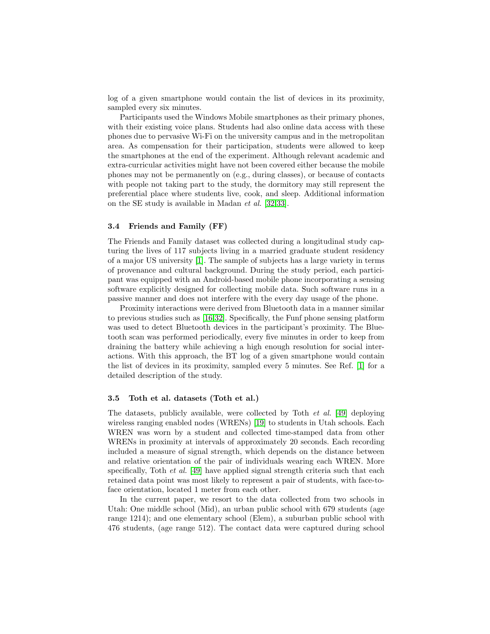log of a given smartphone would contain the list of devices in its proximity, sampled every six minutes.

Participants used the Windows Mobile smartphones as their primary phones, with their existing voice plans. Students had also online data access with these phones due to pervasive Wi-Fi on the university campus and in the metropolitan area. As compensation for their participation, students were allowed to keep the smartphones at the end of the experiment. Although relevant academic and extra-curricular activities might have not been covered either because the mobile phones may not be permanently on (e.g., during classes), or because of contacts with people not taking part to the study, the dormitory may still represent the preferential place where students live, cook, and sleep. Additional information on the SE study is available in Madan et al. [\[32](#page-15-7)[,33\]](#page-15-9).

#### 3.4 Friends and Family (FF)

The Friends and Family dataset was collected during a longitudinal study capturing the lives of 117 subjects living in a married graduate student residency of a major US university [\[1\]](#page-13-3). The sample of subjects has a large variety in terms of provenance and cultural background. During the study period, each participant was equipped with an Android-based mobile phone incorporating a sensing software explicitly designed for collecting mobile data. Such software runs in a passive manner and does not interfere with the every day usage of the phone.

Proximity interactions were derived from Bluetooth data in a manner similar to previous studies such as [\[16,](#page-14-4)[32\]](#page-15-7). Specifically, the Funf phone sensing platform was used to detect Bluetooth devices in the participant's proximity. The Bluetooth scan was performed periodically, every five minutes in order to keep from draining the battery while achieving a high enough resolution for social interactions. With this approach, the BT log of a given smartphone would contain the list of devices in its proximity, sampled every 5 minutes. See Ref. [\[1\]](#page-13-3) for a detailed description of the study.

#### 3.5 Toth et al. datasets (Toth et al.)

The datasets, publicly available, were collected by Toth et al. [\[49\]](#page-16-4) deploying wireless ranging enabled nodes (WRENs) [\[19\]](#page-14-16) to students in Utah schools. Each WREN was worn by a student and collected time-stamped data from other WRENs in proximity at intervals of approximately 20 seconds. Each recording included a measure of signal strength, which depends on the distance between and relative orientation of the pair of individuals wearing each WREN. More specifically, Toth *et al.* [\[49\]](#page-16-4) have applied signal strength criteria such that each retained data point was most likely to represent a pair of students, with face-toface orientation, located 1 meter from each other.

In the current paper, we resort to the data collected from two schools in Utah: One middle school (Mid), an urban public school with 679 students (age range 1214); and one elementary school (Elem), a suburban public school with 476 students, (age range 512). The contact data were captured during school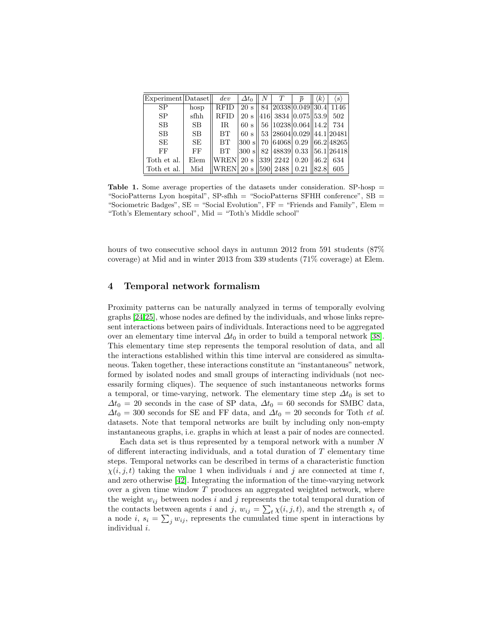| Experiment Dataset |           | dev                                  | $\varDelta t_0$ | N | T                                         | $\langle k \rangle$ | $\langle s \rangle$ |
|--------------------|-----------|--------------------------------------|-----------------|---|-------------------------------------------|---------------------|---------------------|
| SP                 | hosp      | <b>RFID</b>                          | 20 s            |   | 84 20338 0.049 30.4 1146                  |                     |                     |
| <b>SP</b>          | sfhh      | <b>RFID</b>                          | 20 s            |   | 416  3834  0.075  53.9                    |                     | 502                 |
| <b>SB</b>          | <b>SB</b> | IR.                                  | 60 s            |   | 56   10238   0.064   14.2                 |                     | 734                 |
| <b>SB</b>          | <b>SB</b> | <b>BT</b>                            | 60 s            |   | 53 28604 0.029 44.1 20481                 |                     |                     |
| SE                 | SE        | <b>BT</b>                            |                 |   | 300 sl 70 64068 0.29 166.2 48265          |                     |                     |
| FF                 | FF        | <b>BT</b>                            |                 |   | 300 s   82   48839   0.33   156.1   26418 |                     |                     |
| Toth et al.        | Elem      | WREN 20 s 339 2242   0.20   46.2     |                 |   |                                           |                     | 634                 |
| Toth et al.        | Mid       | WREN 20 s   590   2488   0.21   82.8 |                 |   |                                           |                     | 605                 |

<span id="page-6-0"></span>Table 1. Some average properties of the datasets under consideration. SP-hosp = "SocioPatterns Lyon hospital",  $SP\text{-}sfhh =$  "SocioPatterns SFHH conference",  $SB =$ "Sociometric Badges",  $SE =$  "Social Evolution",  $FF =$  "Friends and Family",  $E$ lem  $=$ "Toth's Elementary school", Mid = "Toth's Middle school"

hours of two consecutive school days in autumn 2012 from 591 students (87%) coverage) at Mid and in winter 2013 from 339 students (71% coverage) at Elem.

# 4 Temporal network formalism

Proximity patterns can be naturally analyzed in terms of temporally evolving graphs [\[24,](#page-14-17)[25\]](#page-14-18), whose nodes are defined by the individuals, and whose links represent interactions between pairs of individuals. Interactions need to be aggregated over an elementary time interval  $\Delta t_0$  in order to build a temporal network [\[38\]](#page-15-15). This elementary time step represents the temporal resolution of data, and all the interactions established within this time interval are considered as simultaneous. Taken together, these interactions constitute an "instantaneous" network, formed by isolated nodes and small groups of interacting individuals (not necessarily forming cliques). The sequence of such instantaneous networks forms a temporal, or time-varying, network. The elementary time step  $\Delta t_0$  is set to  $\Delta t_0 = 20$  seconds in the case of SP data,  $\Delta t_0 = 60$  seconds for SMBC data,  $\Delta t_0 = 300$  seconds for SE and FF data, and  $\Delta t_0 = 20$  seconds for Toth *et al.* datasets. Note that temporal networks are built by including only non-empty instantaneous graphs, i.e. graphs in which at least a pair of nodes are connected.

Each data set is thus represented by a temporal network with a number N of different interacting individuals, and a total duration of  $T$  elementary time steps. Temporal networks can be described in terms of a characteristic function  $\chi(i, j, t)$  taking the value 1 when individuals i and j are connected at time t, and zero otherwise [\[42\]](#page-15-16). Integrating the information of the time-varying network over a given time window  $T$  produces an aggregated weighted network, where the weight  $w_{ij}$  between nodes i and j represents the total temporal duration of the contacts between agents *i* and *j*,  $w_{ij} = \sum_{t} \chi(i, j, t)$ , and the strength  $s_i$  of a node *i*,  $s_i = \sum_j w_{ij}$ , represents the cumulated time spent in interactions by individual i.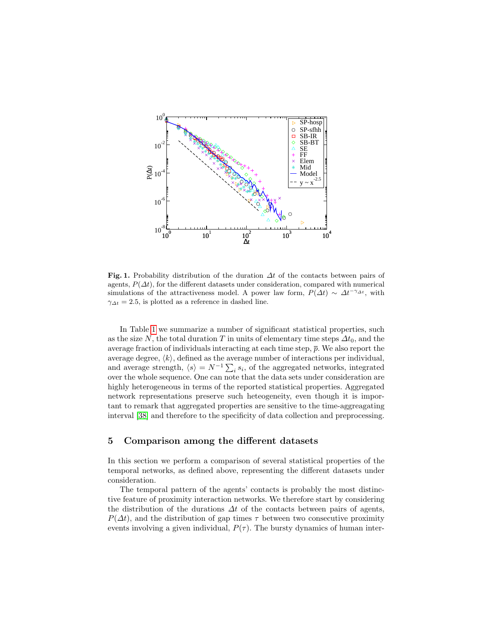

<span id="page-7-0"></span>Fig. 1. Probability distribution of the duration  $\Delta t$  of the contacts between pairs of agents,  $P(\Delta t)$ , for the different datasets under consideration, compared with numerical simulations of the attractiveness model. A power law form,  $P(\Delta t) \sim \Delta t^{-\gamma_{\Delta t}}$ , with  $\gamma_{\Delta t} = 2.5$ , is plotted as a reference in dashed line.

In Table [1](#page-6-0) we summarize a number of significant statistical properties, such as the size N, the total duration T in units of elementary time steps  $\Delta t_0$ , and the average fraction of individuals interacting at each time step,  $\bar{p}$ . We also report the average degree,  $\langle k \rangle$ , defined as the average number of interactions per individual, and average strength,  $\langle s \rangle = N^{-1} \sum_i s_i$ , of the aggregated networks, integrated over the whole sequence. One can note that the data sets under consideration are highly heterogeneous in terms of the reported statistical properties. Aggregated network representations preserve such heteogeneity, even though it is important to remark that aggregated properties are sensitive to the time-aggreagating interval [\[38\]](#page-15-15) and therefore to the specificity of data collection and preprocessing.

## 5 Comparison among the different datasets

In this section we perform a comparison of several statistical properties of the temporal networks, as defined above, representing the different datasets under consideration.

The temporal pattern of the agents' contacts is probably the most distinctive feature of proximity interaction networks. We therefore start by considering the distribution of the durations  $\Delta t$  of the contacts between pairs of agents,  $P(\Delta t)$ , and the distribution of gap times  $\tau$  between two consecutive proximity events involving a given individual,  $P(\tau)$ . The bursty dynamics of human inter-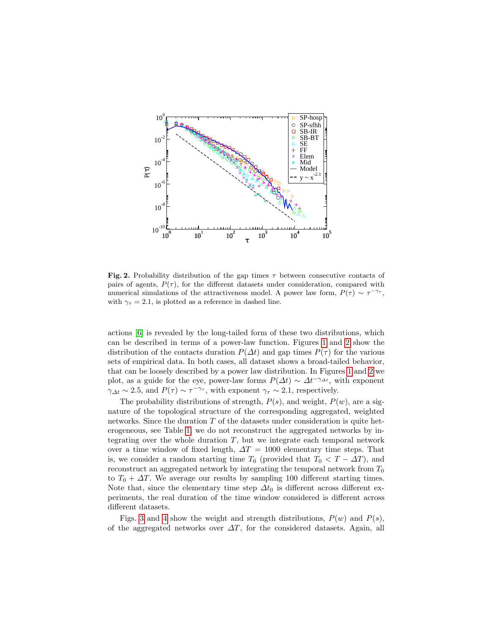

<span id="page-8-0"></span>Fig. 2. Probability distribution of the gap times  $\tau$  between consecutive contacts of pairs of agents,  $P(\tau)$ , for the different datasets under consideration, compared with numerical simulations of the attractiveness model. A power law form,  $P(\tau) \sim \tau^{-\gamma_{\tau}}$ , with  $\gamma_{\tau} = 2.1$ , is plotted as a reference in dashed line.

actions [\[6\]](#page-13-8) is revealed by the long-tailed form of these two distributions, which can be described in terms of a power-law function. Figures [1](#page-7-0) and [2](#page-8-0) show the distribution of the contacts duration  $P(\Delta t)$  and gap times  $P(\tau)$  for the various sets of empirical data. In both cases, all dataset shows a broad-tailed behavior, that can be loosely described by a power law distribution. In Figures [1](#page-7-0) and [2](#page-8-0) we plot, as a guide for the eye, power-law forms  $P(\Delta t) \sim \Delta t^{-\gamma_{\Delta t}}$ , with exponent  $\gamma_{\Delta t} \sim 2.5$ , and  $P(\tau) \sim \tau^{-\gamma_{\tau}}$ , with exponent  $\gamma_{\tau} \sim 2.1$ , respectively.

The probability distributions of strength,  $P(s)$ , and weight,  $P(w)$ , are a signature of the topological structure of the corresponding aggregated, weighted networks. Since the duration  $T$  of the datasets under consideration is quite heterogeneous, see Table [1,](#page-6-0) we do not reconstruct the aggregated networks by integrating over the whole duration  $T$ , but we integrate each temporal network over a time window of fixed length,  $\Delta T = 1000$  elementary time steps. That is, we consider a random starting time  $T_0$  (provided that  $T_0 < T - \Delta T$ ), and reconstruct an aggregated network by integrating the temporal network from  $T_0$ to  $T_0 + \Delta T$ . We average our results by sampling 100 different starting times. Note that, since the elementary time step  $\Delta t_0$  is different across different experiments, the real duration of the time window considered is different across different datasets.

Figs. [3](#page-9-0) and [4](#page-10-0) show the weight and strength distributions,  $P(w)$  and  $P(s)$ , of the aggregated networks over  $\Delta T$ , for the considered datasets. Again, all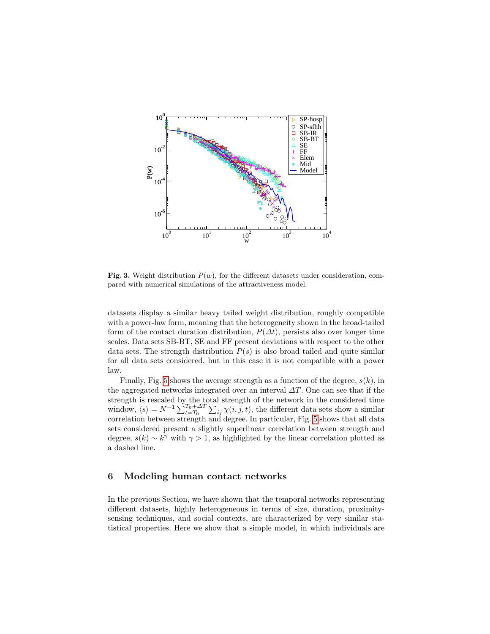

<span id="page-9-0"></span>Fig. 3. Weight distribution  $P(w)$ , for the different datasets under consideration, compared with numerical simulations of the attractiveness model.

datasets display a similar heavy tailed weight distribution, roughly compatible with a power-law form, meaning that the heterogeneity shown in the broad-tailed form of the contact duration distribution,  $P(\Delta t)$ , persists also over longer time scales. Data sets SB-BT, SE and FF present deviations with respect to the other data sets. The strength distribution  $P(s)$  is also broad tailed and quite similar for all data sets considered, but in this case it is not compatible with a power law.

Finally, Fig. [5](#page-11-0) shows the average strength as a function of the degree,  $s(k)$ , in the aggregated networks integrated over an interval  $\Delta T$ . One can see that if the strength is rescaled by the total strength of the network in the considered time window,  $\langle s \rangle = N^{-1} \sum_{t=T_0}^{T_0+\Delta T} \sum_{ij} \chi(i, j, t)$ , the different data sets show a similar correlation between strength and degree. In particular, Fig. [5](#page-11-0) shows that all data sets considered present a slightly superlinear correlation between strength and degree,  $s(k) \sim k^{\gamma}$  with  $\gamma > 1$ , as highlighted by the linear correlation plotted as a dashed line.

# 6 Modeling human contact networks

In the previous Section, we have shown that the temporal networks representing different datasets, highly heterogeneous in terms of size, duration, proximitysensing techniques, and social contexts, are characterized by very similar statistical properties. Here we show that a simple model, in which individuals are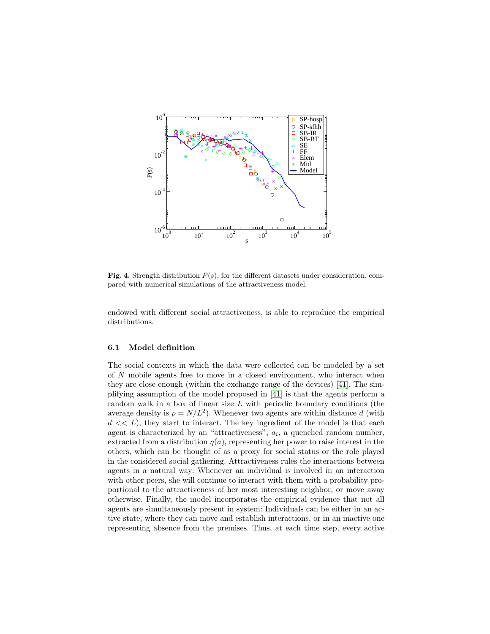

<span id="page-10-0"></span>Fig. 4. Strength distribution  $P(s)$ , for the different datasets under consideration, compared with numerical simulations of the attractiveness model.

endowed with different social attractiveness, is able to reproduce the empirical distributions.

#### 6.1 Model definition

The social contexts in which the data were collected can be modeled by a set of N mobile agents free to move in a closed environment, who interact when they are close enough (within the exchange range of the devices) [\[41\]](#page-15-13). The simplifying assumption of the model proposed in [\[41\]](#page-15-13) is that the agents perform a random walk in a box of linear size L with periodic boundary conditions (the average density is  $\rho = N/L^2$ ). Whenever two agents are within distance d (with  $d \ll L$ , they start to interact. The key ingredient of the model is that each agent is characterized by an "attractiveness",  $a_i$ , a quenched random number, extracted from a distribution  $\eta(a)$ , representing her power to raise interest in the others, which can be thought of as a proxy for social status or the role played in the considered social gathering. Attractiveness rules the interactions between agents in a natural way: Whenever an individual is involved in an interaction with other peers, she will continue to interact with them with a probability proportional to the attractiveness of her most interesting neighbor, or move away otherwise. Finally, the model incorporates the empirical evidence that not all agents are simultaneously present in system: Individuals can be either in an active state, where they can move and establish interactions, or in an inactive one representing absence from the premises. Thus, at each time step, every active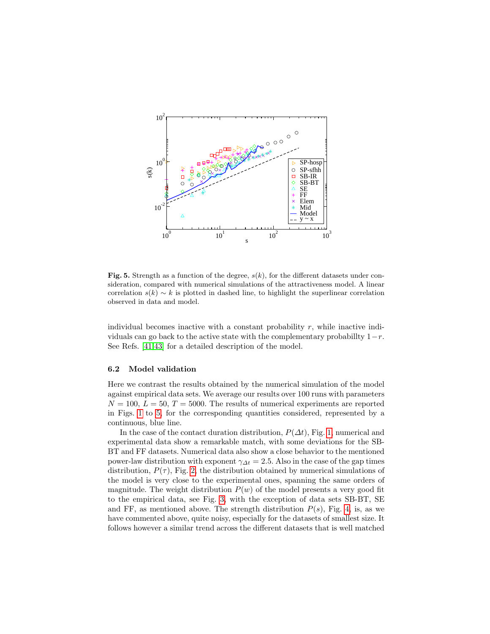

<span id="page-11-0"></span>Fig. 5. Strength as a function of the degree,  $s(k)$ , for the different datasets under consideration, compared with numerical simulations of the attractiveness model. A linear correlation  $s(k) \sim k$  is plotted in dashed line, to highlight the superlinear correlation observed in data and model.

individual becomes inactive with a constant probability  $r$ , while inactive individuals can go back to the active state with the complementary probability  $1-r$ . See Refs. [\[41,](#page-15-13)[43\]](#page-15-14) for a detailed description of the model.

#### 6.2 Model validation

Here we contrast the results obtained by the numerical simulation of the model against empirical data sets. We average our results over 100 runs with parameters  $N = 100, L = 50, T = 5000$ . The results of numerical experiments are reported in Figs. [1](#page-7-0) to [5,](#page-11-0) for the corresponding quantities considered, represented by a continuous, blue line.

In the case of the contact duration distribution,  $P(\Delta t)$ , Fig. [1,](#page-7-0) numerical and experimental data show a remarkable match, with some deviations for the SB-BT and FF datasets. Numerical data also show a close behavior to the mentioned power-law distribution with exponent  $\gamma_{\Delta t} = 2.5$ . Also in the case of the gap times distribution,  $P(\tau)$ , Fig. [2,](#page-8-0) the distribution obtained by numerical simulations of the model is very close to the experimental ones, spanning the same orders of magnitude. The weight distribution  $P(w)$  of the model presents a very good fit to the empirical data, see Fig. [3,](#page-9-0) with the exception of data sets SB-BT, SE and FF, as mentioned above. The strength distribution  $P(s)$ , Fig. [4,](#page-10-0) is, as we have commented above, quite noisy, especially for the datasets of smallest size. It follows however a similar trend across the different datasets that is well matched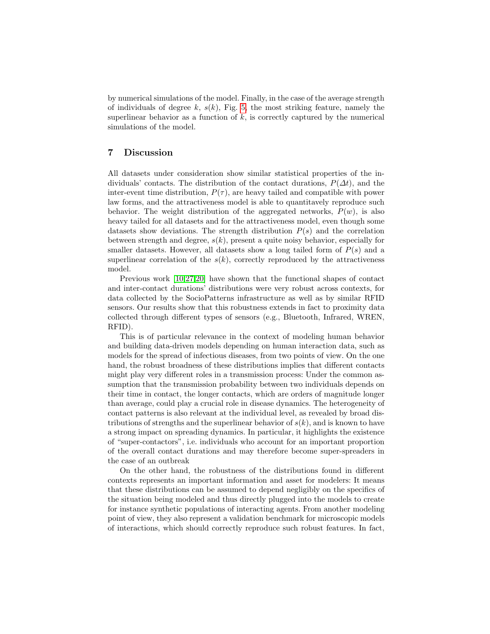by numerical simulations of the model. Finally, in the case of the average strength of individuals of degree k,  $s(k)$ , Fig. [5,](#page-11-0) the most striking feature, namely the superlinear behavior as a function of  $k$ , is correctly captured by the numerical simulations of the model.

## 7 Discussion

All datasets under consideration show similar statistical properties of the individuals' contacts. The distribution of the contact durations,  $P(\Delta t)$ , and the inter-event time distribution,  $P(\tau)$ , are heavy tailed and compatible with power law forms, and the attractiveness model is able to quantitavely reproduce such behavior. The weight distribution of the aggregated networks,  $P(w)$ , is also heavy tailed for all datasets and for the attractiveness model, even though some datasets show deviations. The strength distribution  $P(s)$  and the correlation between strength and degree,  $s(k)$ , present a quite noisy behavior, especially for smaller datasets. However, all datasets show a long tailed form of  $P(s)$  and a superlinear correlation of the  $s(k)$ , correctly reproduced by the attractiveness model.

Previous work [\[10](#page-14-5)[,27,](#page-14-13)[20\]](#page-14-7) have shown that the functional shapes of contact and inter-contact durations' distributions were very robust across contexts, for data collected by the SocioPatterns infrastructure as well as by similar RFID sensors. Our results show that this robustness extends in fact to proximity data collected through different types of sensors (e.g., Bluetooth, Infrared, WREN, RFID).

This is of particular relevance in the context of modeling human behavior and building data-driven models depending on human interaction data, such as models for the spread of infectious diseases, from two points of view. On the one hand, the robust broadness of these distributions implies that different contacts might play very different roles in a transmission process: Under the common assumption that the transmission probability between two individuals depends on their time in contact, the longer contacts, which are orders of magnitude longer than average, could play a crucial role in disease dynamics. The heterogeneity of contact patterns is also relevant at the individual level, as revealed by broad distributions of strengths and the superlinear behavior of  $s(k)$ , and is known to have a strong impact on spreading dynamics. In particular, it highlights the existence of "super-contactors", i.e. individuals who account for an important proportion of the overall contact durations and may therefore become super-spreaders in the case of an outbreak

On the other hand, the robustness of the distributions found in different contexts represents an important information and asset for modelers: It means that these distributions can be assumed to depend negligibly on the specifics of the situation being modeled and thus directly plugged into the models to create for instance synthetic populations of interacting agents. From another modeling point of view, they also represent a validation benchmark for microscopic models of interactions, which should correctly reproduce such robust features. In fact,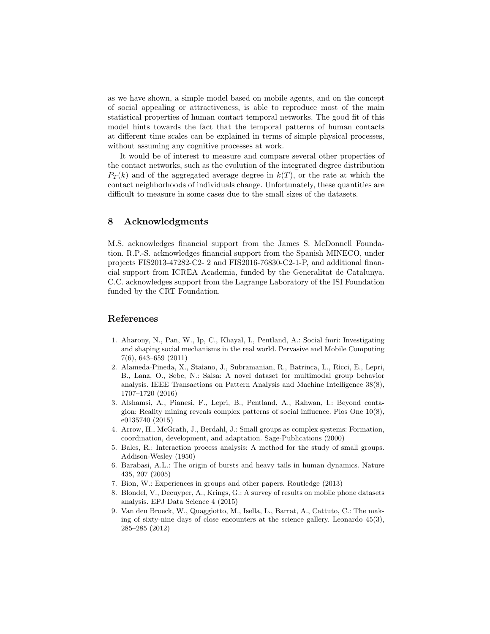as we have shown, a simple model based on mobile agents, and on the concept of social appealing or attractiveness, is able to reproduce most of the main statistical properties of human contact temporal networks. The good fit of this model hints towards the fact that the temporal patterns of human contacts at different time scales can be explained in terms of simple physical processes, without assuming any cognitive processes at work.

It would be of interest to measure and compare several other properties of the contact networks, such as the evolution of the integrated degree distribution  $P_T(k)$  and of the aggregated average degree in  $k(T)$ , or the rate at which the contact neighborhoods of individuals change. Unfortunately, these quantities are difficult to measure in some cases due to the small sizes of the datasets.

#### 8 Acknowledgments

M.S. acknowledges financial support from the James S. McDonnell Foundation. R.P.-S. acknowledges financial support from the Spanish MINECO, under projects FIS2013-47282-C2- 2 and FIS2016-76830-C2-1-P, and additional financial support from ICREA Academia, funded by the Generalitat de Catalunya. C.C. acknowledges support from the Lagrange Laboratory of the ISI Foundation funded by the CRT Foundation.

# References

- <span id="page-13-3"></span>1. Aharony, N., Pan, W., Ip, C., Khayal, I., Pentland, A.: Social fmri: Investigating and shaping social mechanisms in the real world. Pervasive and Mobile Computing 7(6), 643–659 (2011)
- <span id="page-13-6"></span>2. Alameda-Pineda, X., Staiano, J., Subramanian, R., Batrinca, L., Ricci, E., Lepri, B., Lanz, O., Sebe, N.: Salsa: A novel dataset for multimodal group behavior analysis. IEEE Transactions on Pattern Analysis and Machine Intelligence 38(8), 1707–1720 (2016)
- <span id="page-13-7"></span>3. Alshamsi, A., Pianesi, F., Lepri, B., Pentland, A., Rahwan, I.: Beyond contagion: Reality mining reveals complex patterns of social influence. Plos One 10(8), e0135740 (2015)
- <span id="page-13-1"></span>4. Arrow, H., McGrath, J., Berdahl, J.: Small groups as complex systems: Formation, coordination, development, and adaptation. Sage-Publications (2000)
- <span id="page-13-0"></span>5. Bales, R.: Interaction process analysis: A method for the study of small groups. Addison-Wesley (1950)
- <span id="page-13-8"></span>6. Barabasi, A.L.: The origin of bursts and heavy tails in human dynamics. Nature 435, 207 (2005)
- <span id="page-13-2"></span>7. Bion, W.: Experiences in groups and other papers. Routledge (2013)
- <span id="page-13-5"></span>8. Blondel, V., Decuyper, A., Krings, G.: A survey of results on mobile phone datasets analysis. EPJ Data Science 4 (2015)
- <span id="page-13-4"></span>9. Van den Broeck, W., Quaggiotto, M., Isella, L., Barrat, A., Cattuto, C.: The making of sixty-nine days of close encounters at the science gallery. Leonardo 45(3), 285–285 (2012)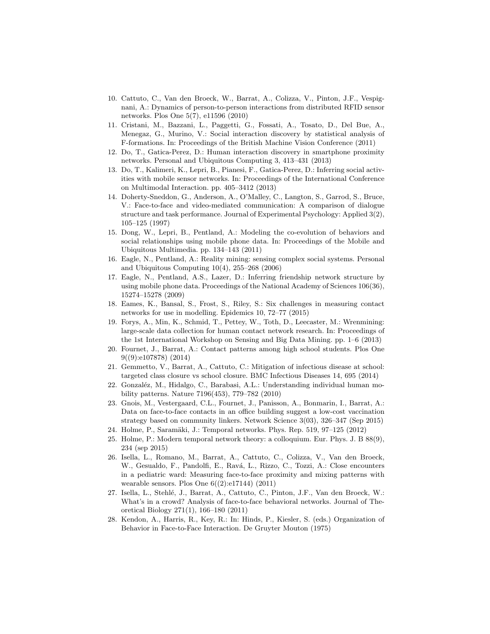- <span id="page-14-5"></span>10. Cattuto, C., Van den Broeck, W., Barrat, A., Colizza, V., Pinton, J.F., Vespignani, A.: Dynamics of person-to-person interactions from distributed RFID sensor networks. Plos One 5(7), e11596 (2010)
- <span id="page-14-12"></span>11. Cristani, M., Bazzani, L., Paggetti, G., Fossati, A., Tosato, D., Del Bue, A., Menegaz, G., Murino, V.: Social interaction discovery by statistical analysis of F-formations. In: Proceedings of the British Machine Vision Conference (2011)
- <span id="page-14-9"></span>12. Do, T., Gatica-Perez, D.: Human interaction discovery in smartphone proximity networks. Personal and Ubiquitous Computing 3, 413–431 (2013)
- <span id="page-14-10"></span>13. Do, T., Kalimeri, K., Lepri, B., Pianesi, F., Gatica-Perez, D.: Inferring social activities with mobile sensor networks. In: Proceedings of the International Conference on Multimodal Interaction. pp. 405–3412 (2013)
- <span id="page-14-1"></span>14. Doherty-Sneddon, G., Anderson, A., O'Malley, C., Langton, S., Garrod, S., Bruce, V.: Face-to-face and video-mediated communication: A comparison of dialogue structure and task performance. Journal of Experimental Psychology: Applied 3(2), 105–125 (1997)
- <span id="page-14-8"></span>15. Dong, W., Lepri, B., Pentland, A.: Modeling the co-evolution of behaviors and social relationships using mobile phone data. In: Proceedings of the Mobile and Ubiquitous Multimedia. pp. 134–143 (2011)
- <span id="page-14-4"></span>16. Eagle, N., Pentland, A.: Reality mining: sensing complex social systems. Personal and Ubiquitous Computing 10(4), 255–268 (2006)
- <span id="page-14-15"></span>17. Eagle, N., Pentland, A.S., Lazer, D.: Inferring friendship network structure by using mobile phone data. Proceedings of the National Academy of Sciences 106(36), 15274–15278 (2009)
- <span id="page-14-3"></span>18. Eames, K., Bansal, S., Frost, S., Riley, S.: Six challenges in measuring contact networks for use in modelling. Epidemics 10, 72–77 (2015)
- <span id="page-14-16"></span>19. Forys, A., Min, K., Schmid, T., Pettey, W., Toth, D., Leecaster, M.: Wrenmining: large-scale data collection for human contact network research. In: Proceedings of the 1st International Workshop on Sensing and Big Data Mining. pp. 1–6 (2013)
- <span id="page-14-7"></span>20. Fournet, J., Barrat, A.: Contact patterns among high school students. Plos One 9((9):e107878) (2014)
- <span id="page-14-2"></span>21. Gemmetto, V., Barrat, A., Cattuto, C.: Mitigation of infectious disease at school: targeted class closure vs school closure. BMC Infectious Diseases 14, 695 (2014)
- <span id="page-14-11"></span>22. Gonzaléz, M., Hidalgo, C., Barabasi, A.L.: Understanding individual human mobility patterns. Nature 7196(453), 779–782 (2010)
- <span id="page-14-14"></span>23. Gnois, M., Vestergaard, C.L., Fournet, J., Panisson, A., Bonmarin, I., Barrat, A.: Data on face-to-face contacts in an office building suggest a low-cost vaccination strategy based on community linkers. Network Science 3(03), 326–347 (Sep 2015)
- <span id="page-14-17"></span>24. Holme, P., Saramäki, J.: Temporal networks. Phys. Rep. 519, 97–125 (2012)
- <span id="page-14-18"></span>25. Holme, P.: Modern temporal network theory: a colloquium. Eur. Phys. J. B 88(9), 234 (sep 2015)
- <span id="page-14-6"></span>26. Isella, L., Romano, M., Barrat, A., Cattuto, C., Colizza, V., Van den Broeck, W., Gesualdo, F., Pandolfi, E., Ravá, L., Rizzo, C., Tozzi, A.: Close encounters in a pediatric ward: Measuring face-to-face proximity and mixing patterns with wearable sensors. Plos One  $6((2):e17144)$  (2011)
- <span id="page-14-13"></span>27. Isella, L., Stehlé, J., Barrat, A., Cattuto, C., Pinton, J.F., Van den Broeck, W.: What's in a crowd? Analysis of face-to-face behavioral networks. Journal of Theoretical Biology 271(1), 166–180 (2011)
- <span id="page-14-0"></span>28. Kendon, A., Harris, R., Key, R.: In: Hinds, P., Kiesler, S. (eds.) Organization of Behavior in Face-to-Face Interaction. De Gruyter Mouton (1975)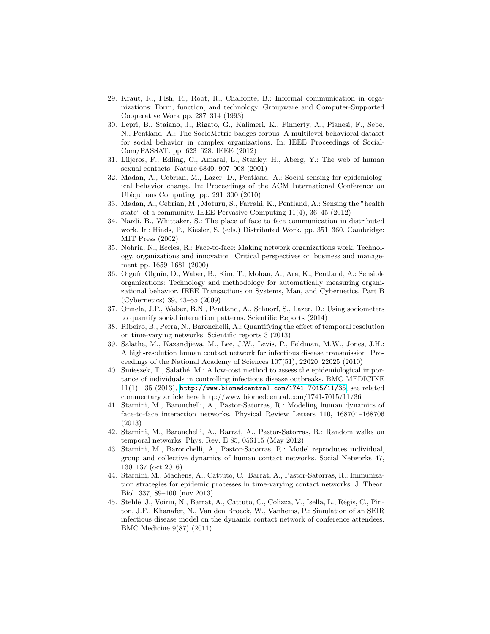- <span id="page-15-1"></span>29. Kraut, R., Fish, R., Root, R., Chalfonte, B.: Informal communication in organizations: Form, function, and technology. Groupware and Computer-Supported Cooperative Work pp. 287–314 (1993)
- <span id="page-15-8"></span>30. Lepri, B., Staiano, J., Rigato, G., Kalimeri, K., Finnerty, A., Pianesi, F., Sebe, N., Pentland, A.: The SocioMetric badges corpus: A multilevel behavioral dataset for social behavior in complex organizations. In: IEEE Proceedings of Social-Com/PASSAT. pp. 623–628. IEEE (2012)
- <span id="page-15-3"></span>31. Liljeros, F., Edling, C., Amaral, L., Stanley, H., Aberg, Y.: The web of human sexual contacts. Nature 6840, 907–908 (2001)
- <span id="page-15-7"></span>32. Madan, A., Cebrian, M., Lazer, D., Pentland, A.: Social sensing for epidemiological behavior change. In: Proceedings of the ACM International Conference on Ubiquitous Computing. pp. 291–300 (2010)
- <span id="page-15-9"></span>33. Madan, A., Cebrian, M., Moturu, S., Farrahi, K., Pentland, A.: Sensing the "health state" of a community. IEEE Pervasive Computing 11(4), 36–45 (2012)
- <span id="page-15-0"></span>34. Nardi, B., Whittaker, S.: The place of face to face communication in distributed work. In: Hinds, P., Kiesler, S. (eds.) Distributed Work. pp. 351–360. Cambridge: MIT Press (2002)
- <span id="page-15-2"></span>35. Nohria, N., Eccles, R.: Face-to-face: Making network organizations work. Technology, organizations and innovation: Critical perspectives on business and management pp. 1659–1681 (2000)
- <span id="page-15-10"></span>36. Olguín Olguín, D., Waber, B., Kim, T., Mohan, A., Ara, K., Pentland, A.: Sensible organizations: Technology and methodology for automatically measuring organizational behavior. IEEE Transactions on Systems, Man, and Cybernetics, Part B (Cybernetics) 39, 43–55 (2009)
- <span id="page-15-11"></span>37. Onnela, J.P., Waber, B.N., Pentland, A., Schnorf, S., Lazer, D.: Using sociometers to quantify social interaction patterns. Scientific Reports (2014)
- <span id="page-15-15"></span>38. Ribeiro, B., Perra, N., Baronchelli, A.: Quantifying the effect of temporal resolution on time-varying networks. Scientific reports 3 (2013)
- <span id="page-15-4"></span>39. Salathé, M., Kazandjieva, M., Lee, J.W., Levis, P., Feldman, M.W., Jones, J.H.: A high-resolution human contact network for infectious disease transmission. Proceedings of the National Academy of Sciences 107(51), 22020–22025 (2010)
- <span id="page-15-6"></span>40. Smieszek, T., Salathé, M.: A low-cost method to assess the epidemiological importance of individuals in controlling infectious disease outbreaks. BMC MEDICINE 11(1), 35 (2013), <http://www.biomedcentral.com/1741-7015/11/35>, see related commentary article here http://www.biomedcentral.com/1741-7015/11/36
- <span id="page-15-13"></span>41. Starnini, M., Baronchelli, A., Pastor-Satorras, R.: Modeling human dynamics of face-to-face interaction networks. Physical Review Letters 110, 168701–168706 (2013)
- <span id="page-15-16"></span>42. Starnini, M., Baronchelli, A., Barrat, A., Pastor-Satorras, R.: Random walks on temporal networks. Phys. Rev. E 85, 056115 (May 2012)
- <span id="page-15-14"></span>43. Starnini, M., Baronchelli, A., Pastor-Satorras, R.: Model reproduces individual, group and collective dynamics of human contact networks. Social Networks 47, 130–137 (oct 2016)
- <span id="page-15-5"></span>44. Starnini, M., Machens, A., Cattuto, C., Barrat, A., Pastor-Satorras, R.: Immunization strategies for epidemic processes in time-varying contact networks. J. Theor. Biol. 337, 89–100 (nov 2013)
- <span id="page-15-12"></span>45. Stehlé, J., Voirin, N., Barrat, A., Cattuto, C., Colizza, V., Isella, L., Régis, C., Pinton, J.F., Khanafer, N., Van den Broeck, W., Vanhems, P.: Simulation of an SEIR infectious disease model on the dynamic contact network of conference attendees. BMC Medicine 9(87) (2011)